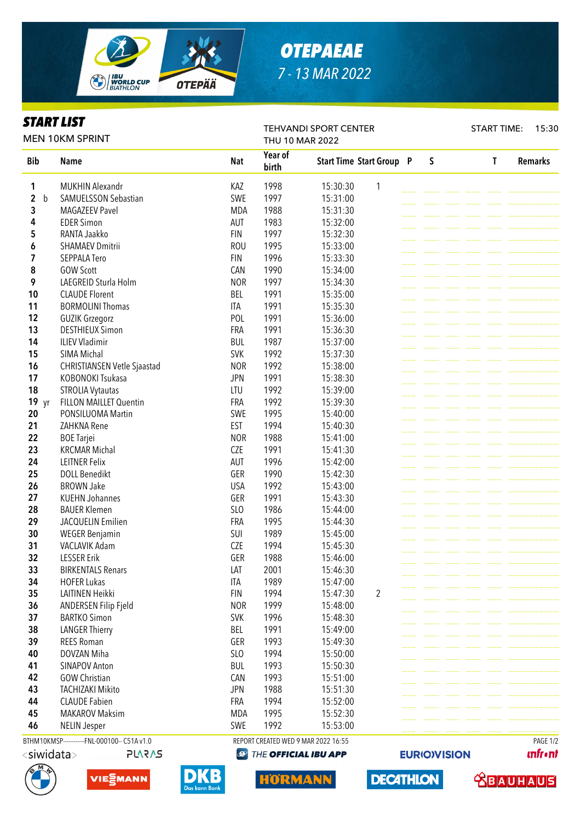

# *OTEPAEAE 7 - 13 MAR 2022*

TEHVANDI SPORT CENTER

## *START LIST*

START TIME: 15:30

**unfront** 

 **<u>CBAUHAUS</u>** 

**EURIO)VISION** 

**DECATHLON** 

| <b>MEN 10KM SPRINT</b>                 |                                              |            | THU 10 MAR 2022  |                                     |  |  |   |  |  |   |                |  |
|----------------------------------------|----------------------------------------------|------------|------------------|-------------------------------------|--|--|---|--|--|---|----------------|--|
| <b>Bib</b>                             | <b>Name</b>                                  | <b>Nat</b> | Year of<br>birth | <b>Start Time Start Group P</b>     |  |  | S |  |  | T | <b>Remarks</b> |  |
| 1                                      | <b>MUKHIN Alexandr</b>                       | KAZ        | 1998             | 15:30:30<br>1                       |  |  |   |  |  |   |                |  |
| $\overline{\mathbf{c}}$<br>$\mathbf b$ | SAMUELSSON Sebastian                         | SWE        | 1997             | 15:31:00                            |  |  |   |  |  |   |                |  |
| 3                                      | <b>MAGAZEEV Pavel</b>                        | <b>MDA</b> | 1988             | 15:31:30                            |  |  |   |  |  |   |                |  |
| 4                                      | <b>EDER Simon</b>                            | AUT        | 1983             | 15:32:00                            |  |  |   |  |  |   |                |  |
| 5                                      | RANTA Jaakko                                 | <b>FIN</b> | 1997             | 15:32:30                            |  |  |   |  |  |   |                |  |
| 6                                      | <b>SHAMAEV Dmitrii</b>                       | <b>ROU</b> | 1995             | 15:33:00                            |  |  |   |  |  |   |                |  |
| 7                                      | SEPPALA Tero                                 | <b>FIN</b> | 1996             | 15:33:30                            |  |  |   |  |  |   |                |  |
| 8                                      | <b>GOW Scott</b>                             | CAN        | 1990             | 15:34:00                            |  |  |   |  |  |   |                |  |
| 9                                      | LAEGREID Sturla Holm                         | <b>NOR</b> | 1997             | 15:34:30                            |  |  |   |  |  |   |                |  |
| 10                                     | <b>CLAUDE Florent</b>                        | <b>BEL</b> | 1991             | 15:35:00                            |  |  |   |  |  |   |                |  |
| 11                                     | <b>BORMOLINI Thomas</b>                      | <b>ITA</b> | 1991             | 15:35:30                            |  |  |   |  |  |   |                |  |
| 12                                     | <b>GUZIK Grzegorz</b>                        | POL        | 1991             | 15:36:00                            |  |  |   |  |  |   |                |  |
| 13                                     | <b>DESTHIEUX Simon</b>                       | <b>FRA</b> | 1991             | 15:36:30                            |  |  |   |  |  |   |                |  |
| 14                                     | <b>ILIEV Vladimir</b>                        | <b>BUL</b> | 1987             | 15:37:00                            |  |  |   |  |  |   |                |  |
| 15                                     | SIMA Michal                                  | <b>SVK</b> | 1992             | 15:37:30                            |  |  |   |  |  |   |                |  |
| 16                                     | CHRISTIANSEN Vetle Sjaastad                  | <b>NOR</b> | 1992             | 15:38:00                            |  |  |   |  |  |   |                |  |
| 17                                     | KOBONOKI Tsukasa                             | <b>JPN</b> | 1991             | 15:38:30                            |  |  |   |  |  |   |                |  |
| 18                                     | <b>STROLIA Vytautas</b>                      | LTU        | 1992             | 15:39:00                            |  |  |   |  |  |   |                |  |
| 19 yr                                  | <b>FILLON MAILLET Quentin</b>                | <b>FRA</b> | 1992             | 15:39:30                            |  |  |   |  |  |   |                |  |
| 20                                     | PONSILUOMA Martin                            | SWE        | 1995             | 15:40:00                            |  |  |   |  |  |   |                |  |
| 21                                     | ZAHKNA Rene                                  | <b>EST</b> | 1994             | 15:40:30                            |  |  |   |  |  |   |                |  |
| 22                                     | <b>BOE Tarjei</b>                            | <b>NOR</b> | 1988             | 15:41:00                            |  |  |   |  |  |   |                |  |
| 23                                     | <b>KRCMAR Michal</b>                         | <b>CZE</b> | 1991             | 15:41:30                            |  |  |   |  |  |   |                |  |
| 24                                     | <b>LEITNER Felix</b>                         | AUT        | 1996             | 15:42:00                            |  |  |   |  |  |   |                |  |
| 25                                     | <b>DOLL Benedikt</b>                         | GER        | 1990             | 15:42:30                            |  |  |   |  |  |   |                |  |
| 26                                     | <b>BROWN Jake</b>                            | <b>USA</b> | 1992             | 15:43:00                            |  |  |   |  |  |   |                |  |
| 27                                     | <b>KUEHN Johannes</b>                        | GER        | 1991             | 15:43:30                            |  |  |   |  |  |   |                |  |
| 28                                     | <b>BAUER Klemen</b>                          | SLO        | 1986             | 15:44:00                            |  |  |   |  |  |   |                |  |
| 29                                     | JACQUELIN Emilien                            | FRA        | 1995             | 15:44:30                            |  |  |   |  |  |   |                |  |
| 30                                     |                                              | SUI        | 1989             | 15:45:00                            |  |  |   |  |  |   |                |  |
| 31                                     | <b>WEGER Benjamin</b><br>VACLAVIK Adam       | <b>CZE</b> | 1994             |                                     |  |  |   |  |  |   |                |  |
|                                        |                                              |            |                  | 15:45:30<br>15:46:00                |  |  |   |  |  |   |                |  |
| 32<br>33                               | <b>LESSER Erik</b>                           | GER        | 1988             |                                     |  |  |   |  |  |   |                |  |
|                                        | <b>BIRKENTALS Renars</b>                     | LAT        | 2001             | 15:46:30                            |  |  |   |  |  |   |                |  |
| 34                                     | <b>HOFER Lukas</b>                           | ITA        | 1989             | 15:47:00                            |  |  |   |  |  |   |                |  |
| 35                                     | LAITINEN Heikki                              | <b>FIN</b> | 1994             | 15:47:30<br>2                       |  |  |   |  |  |   |                |  |
| 36                                     | ANDERSEN Filip Fjeld                         | <b>NOR</b> | 1999             | 15:48:00                            |  |  |   |  |  |   |                |  |
| 37                                     | <b>BARTKO Simon</b>                          | <b>SVK</b> | 1996             | 15:48:30                            |  |  |   |  |  |   |                |  |
| 38                                     | <b>LANGER Thierry</b>                        | <b>BEL</b> | 1991             | 15:49:00                            |  |  |   |  |  |   |                |  |
| 39                                     | <b>REES Roman</b>                            | GER        | 1993             | 15:49:30                            |  |  |   |  |  |   |                |  |
| 40                                     | DOVZAN Miha                                  | SLO        | 1994             | 15:50:00                            |  |  |   |  |  |   |                |  |
| 41                                     | <b>SINAPOV Anton</b>                         | <b>BUL</b> | 1993             | 15:50:30                            |  |  |   |  |  |   |                |  |
| 42                                     | <b>GOW Christian</b>                         | CAN        | 1993             | 15:51:00                            |  |  |   |  |  |   |                |  |
| 43                                     | <b>TACHIZAKI Mikito</b>                      | <b>JPN</b> | 1988             | 15:51:30                            |  |  |   |  |  |   |                |  |
| 44                                     | <b>CLAUDE Fabien</b>                         | FRA        | 1994             | 15:52:00                            |  |  |   |  |  |   |                |  |
| 45                                     | <b>MAKAROV Maksim</b>                        | <b>MDA</b> | 1995             | 15:52:30                            |  |  |   |  |  |   |                |  |
| 46                                     | <b>NELIN Jesper</b>                          | SWE        | 1992             | 15:53:00                            |  |  |   |  |  |   |                |  |
|                                        | BTHM10KMSP------------FNL-000100-- C51A v1.0 |            |                  | REPORT CREATED WED 9 MAR 2022 16:55 |  |  |   |  |  |   | PAGE 1/2       |  |





D



HORMANN